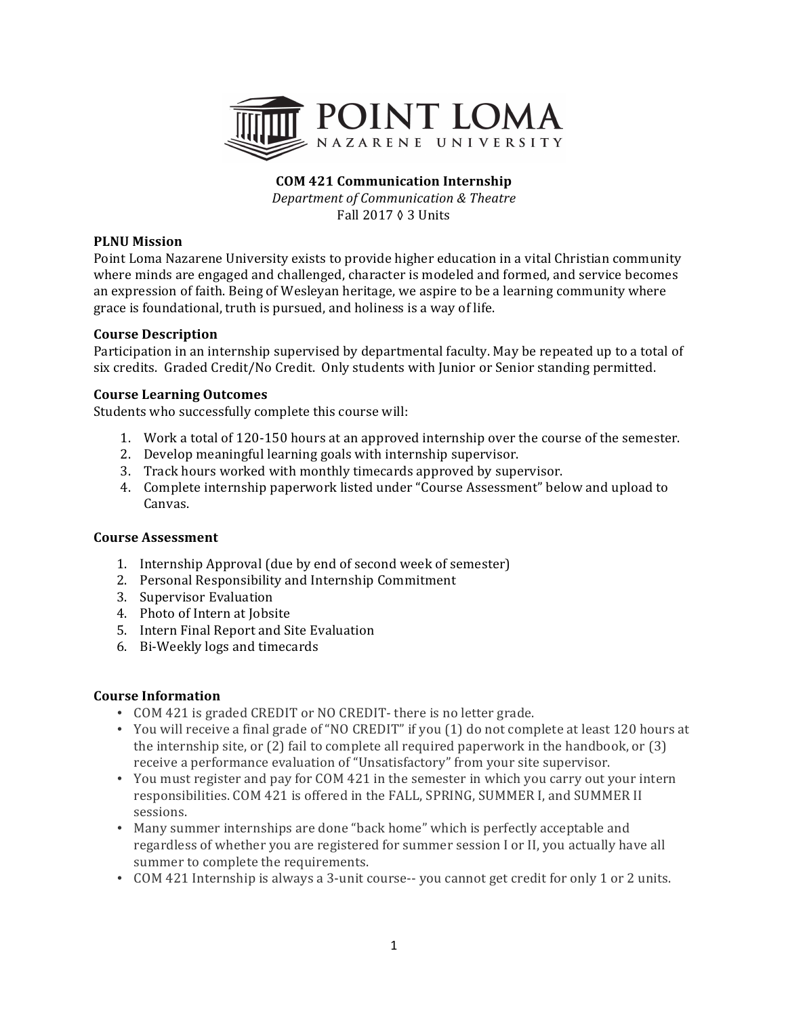

# **COM 421 Communication Internship**

*Department of Communication & Theatre* Fall 2017 ◊ 3 Units

### **PLNU** Mission

Point Loma Nazarene University exists to provide higher education in a vital Christian community where minds are engaged and challenged, character is modeled and formed, and service becomes an expression of faith. Being of Wesleyan heritage, we aspire to be a learning community where grace is foundational, truth is pursued, and holiness is a way of life.

## **Course Description**

Participation in an internship supervised by departmental faculty. May be repeated up to a total of six credits. Graded Credit/No Credit. Only students with Junior or Senior standing permitted.

## **Course Learning Outcomes**

Students who successfully complete this course will:

- 1. Work a total of 120-150 hours at an approved internship over the course of the semester.
- 2. Develop meaningful learning goals with internship supervisor.
- 3. Track hours worked with monthly timecards approved by supervisor.
- 4. Complete internship paperwork listed under "Course Assessment" below and upload to Canvas.

### **Course Assessment**

- 1. Internship Approval (due by end of second week of semester)
- 2. Personal Responsibility and Internship Commitment
- 3. Supervisor Evaluation
- 4. Photo of Intern at Jobsite
- 5. Intern Final Report and Site Evaluation
- 6. Bi-Weekly logs and timecards

### **Course Information**

- COM 421 is graded CREDIT or NO CREDIT- there is no letter grade.
- You will receive a final grade of "NO CREDIT" if you (1) do not complete at least 120 hours at the internship site, or  $(2)$  fail to complete all required paperwork in the handbook, or  $(3)$ receive a performance evaluation of "Unsatisfactory" from your site supervisor.
- You must register and pay for COM 421 in the semester in which you carry out your intern responsibilities. COM 421 is offered in the FALL, SPRING, SUMMER I, and SUMMER II sessions.
- Many summer internships are done "back home" which is perfectly acceptable and regardless of whether you are registered for summer session I or II, you actually have all summer to complete the requirements.
- COM 421 Internship is always a 3-unit course-- you cannot get credit for only 1 or 2 units.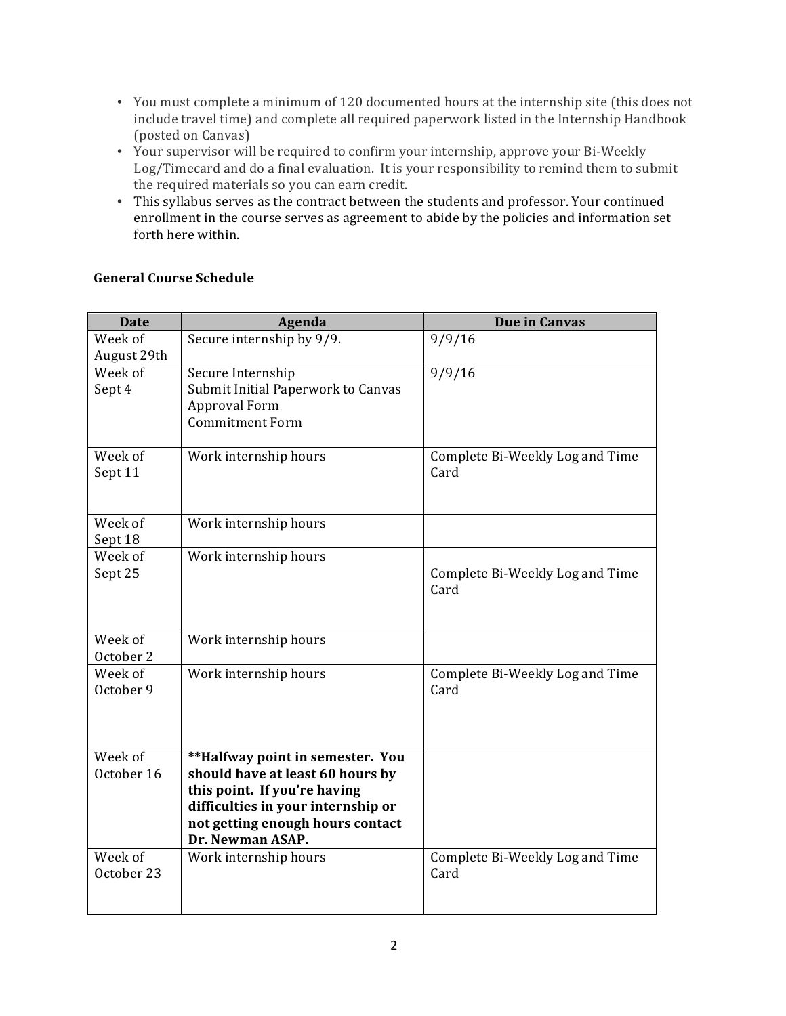- You must complete a minimum of 120 documented hours at the internship site (this does not include travel time) and complete all required paperwork listed in the Internship Handbook (posted on Canvas)
- Your supervisor will be required to confirm your internship, approve your Bi-Weekly Log/Timecard and do a final evaluation. It is your responsibility to remind them to submit the required materials so you can earn credit.
- This syllabus serves as the contract between the students and professor. Your continued enrollment in the course serves as agreement to abide by the policies and information set forth here within.

| <b>Date</b>            | Agenda                                                                                                                                                                                             | <b>Due in Canvas</b>                    |
|------------------------|----------------------------------------------------------------------------------------------------------------------------------------------------------------------------------------------------|-----------------------------------------|
| Week of<br>August 29th | Secure internship by 9/9.                                                                                                                                                                          | 9/9/16                                  |
| Week of<br>Sept 4      | Secure Internship<br>Submit Initial Paperwork to Canvas<br>Approval Form<br><b>Commitment Form</b>                                                                                                 | 9/9/16                                  |
| Week of<br>Sept 11     | Work internship hours                                                                                                                                                                              | Complete Bi-Weekly Log and Time<br>Card |
| Week of<br>Sept 18     | Work internship hours                                                                                                                                                                              |                                         |
| Week of<br>Sept 25     | Work internship hours                                                                                                                                                                              | Complete Bi-Weekly Log and Time<br>Card |
| Week of<br>October 2   | Work internship hours                                                                                                                                                                              |                                         |
| Week of<br>October 9   | Work internship hours                                                                                                                                                                              | Complete Bi-Weekly Log and Time<br>Card |
| Week of<br>October 16  | **Halfway point in semester. You<br>should have at least 60 hours by<br>this point. If you're having<br>difficulties in your internship or<br>not getting enough hours contact<br>Dr. Newman ASAP. |                                         |
| Week of<br>October 23  | Work internship hours                                                                                                                                                                              | Complete Bi-Weekly Log and Time<br>Card |

# **General Course Schedule**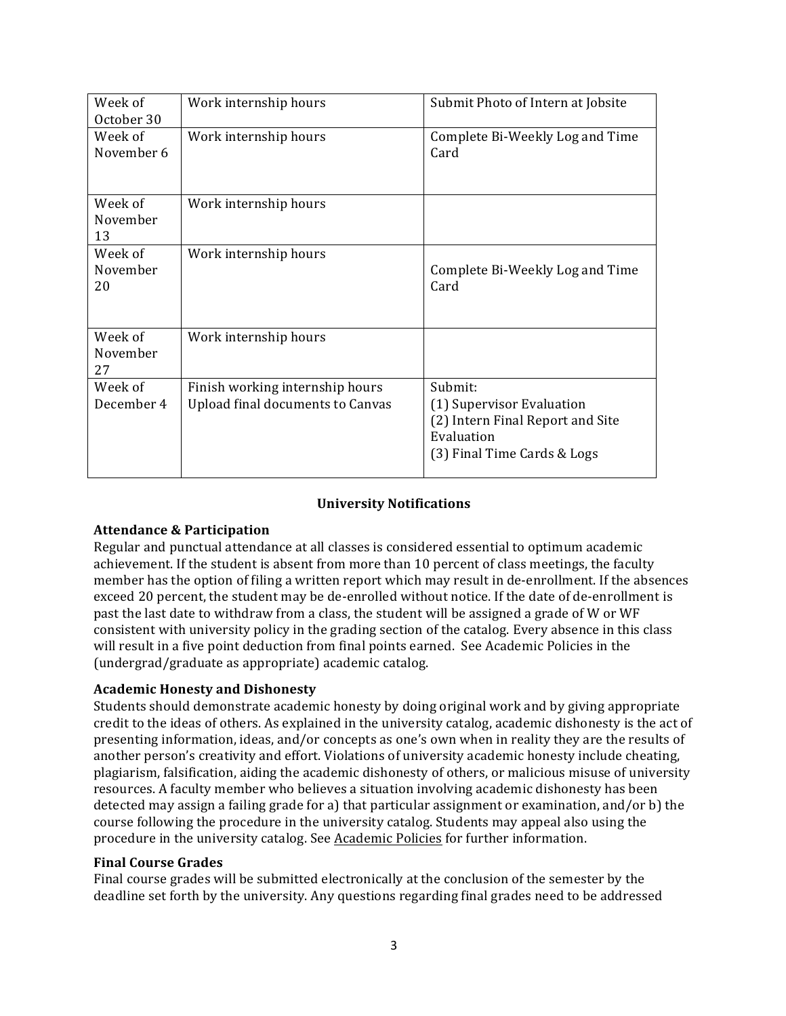| Week of<br>October 30     | Work internship hours                                               | Submit Photo of Intern at Jobsite                                                                                     |
|---------------------------|---------------------------------------------------------------------|-----------------------------------------------------------------------------------------------------------------------|
| Week of<br>November 6     | Work internship hours                                               | Complete Bi-Weekly Log and Time<br>Card                                                                               |
| Week of<br>November<br>13 | Work internship hours                                               |                                                                                                                       |
| Week of<br>November<br>20 | Work internship hours                                               | Complete Bi-Weekly Log and Time<br>Card                                                                               |
| Week of<br>November<br>27 | Work internship hours                                               |                                                                                                                       |
| Week of<br>December 4     | Finish working internship hours<br>Upload final documents to Canvas | Submit:<br>(1) Supervisor Evaluation<br>(2) Intern Final Report and Site<br>Evaluation<br>(3) Final Time Cards & Logs |

## **University Notifications**

### **Attendance & Participation**

Regular and punctual attendance at all classes is considered essential to optimum academic achievement. If the student is absent from more than 10 percent of class meetings, the faculty member has the option of filing a written report which may result in de-enrollment. If the absences exceed 20 percent, the student may be de-enrolled without notice. If the date of de-enrollment is past the last date to withdraw from a class, the student will be assigned a grade of W or WF consistent with university policy in the grading section of the catalog. Every absence in this class will result in a five point deduction from final points earned. See Academic Policies in the (undergrad/graduate as appropriate) academic catalog.

### **Academic Honesty and Dishonesty**

Students should demonstrate academic honesty by doing original work and by giving appropriate credit to the ideas of others. As explained in the university catalog, academic dishonesty is the act of presenting information, ideas, and/or concepts as one's own when in reality they are the results of another person's creativity and effort. Violations of university academic honesty include cheating, plagiarism, falsification, aiding the academic dishonesty of others, or malicious misuse of university resources. A faculty member who believes a situation involving academic dishonesty has been detected may assign a failing grade for a) that particular assignment or examination, and/or  $b$ ) the course following the procedure in the university catalog. Students may appeal also using the procedure in the university catalog. See Academic Policies for further information.

### **Final Course Grades**

Final course grades will be submitted electronically at the conclusion of the semester by the deadline set forth by the university. Any questions regarding final grades need to be addressed